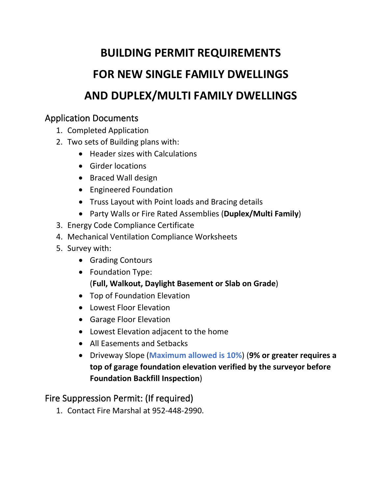# **BUILDING PERMIT REQUIREMENTS FOR NEW SINGLE FAMILY DWELLINGS AND DUPLEX/MULTI FAMILY DWELLINGS**

## Application Documents

- 1. Completed Application
- 2. Two sets of Building plans with:
	- Header sizes with Calculations
	- Girder locations
	- Braced Wall design
	- Engineered Foundation
	- Truss Layout with Point loads and Bracing details
	- Party Walls or Fire Rated Assemblies (**Duplex/Multi Family**)
- 3. Energy Code Compliance Certificate
- 4. Mechanical Ventilation Compliance Worksheets
- 5. Survey with:
	- Grading Contours
	- Foundation Type: (**Full, Walkout, Daylight Basement or Slab on Grade**)
	- Top of Foundation Elevation
	- Lowest Floor Elevation
	- Garage Floor Elevation
	- Lowest Elevation adjacent to the home
	- All Easements and Setbacks
	- Driveway Slope (**Maximum allowed is 10%**) (**9% or greater requires a top of garage foundation elevation verified by the surveyor before Foundation Backfill Inspection**)

# Fire Suppression Permit: (If required)

1. Contact Fire Marshal at 952-448-2990.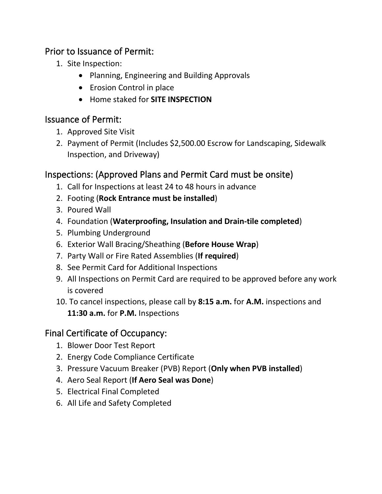#### Prior to Issuance of Permit:

- 1. Site Inspection:
	- Planning, Engineering and Building Approvals
	- Erosion Control in place
	- Home staked for **SITE INSPECTION**

#### Issuance of Permit:

- 1. Approved Site Visit
- 2. Payment of Permit (Includes \$2,500.00 Escrow for Landscaping, Sidewalk Inspection, and Driveway)

## Inspections: (Approved Plans and Permit Card must be onsite)

- 1. Call for Inspections at least 24 to 48 hours in advance
- 2. Footing (**Rock Entrance must be installed**)
- 3. Poured Wall
- 4. Foundation (**Waterproofing, Insulation and Drain-tile completed**)
- 5. Plumbing Underground
- 6. Exterior Wall Bracing/Sheathing (**Before House Wrap**)
- 7. Party Wall or Fire Rated Assemblies (**If required**)
- 8. See Permit Card for Additional Inspections
- 9. All Inspections on Permit Card are required to be approved before any work is covered
- 10. To cancel inspections, please call by **8:15 a.m.** for **A.M.** inspections and **11:30 a.m.** for **P.M.** Inspections

## Final Certificate of Occupancy:

- 1. Blower Door Test Report
- 2. Energy Code Compliance Certificate
- 3. Pressure Vacuum Breaker (PVB) Report (**Only when PVB installed**)
- 4. Aero Seal Report (**If Aero Seal was Done**)
- 5. Electrical Final Completed
- 6. All Life and Safety Completed